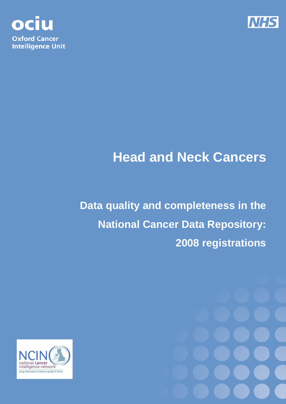



# **Head and Neck Cancers**

**Data quality and completeness in the National Cancer Data Repository: 2008 registrations** 



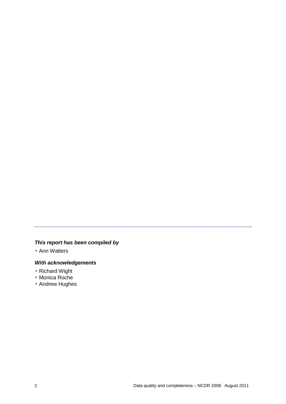## 

## **This report has been compiled by**

• Ann Watters

## **With acknowledgements**

- Richard Wight
- Monica Roche
- Andrew Hughes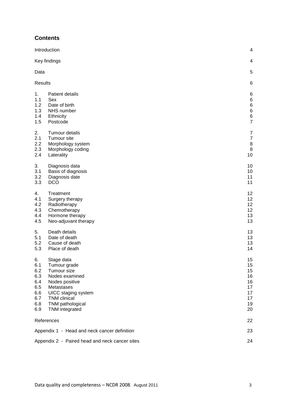## **Contents**

|                                                                   | Introduction                                                                                                                                                                    | $\overline{4}$                                                    |
|-------------------------------------------------------------------|---------------------------------------------------------------------------------------------------------------------------------------------------------------------------------|-------------------------------------------------------------------|
|                                                                   | Key findings                                                                                                                                                                    | 4                                                                 |
| Data                                                              |                                                                                                                                                                                 | 5                                                                 |
| <b>Results</b>                                                    |                                                                                                                                                                                 | 6                                                                 |
| 1.<br>1.1<br>1.2<br>1.3<br>1.4<br>1.5                             | Patient details<br>Sex<br>Date of birth<br>NHS number<br>Ethnicity<br>Postcode                                                                                                  | 6<br>6<br>$\,6$<br>$\,6$<br>$\begin{array}{c} 6 \\ 7 \end{array}$ |
| 2.<br>2.1<br>2.2<br>2.3<br>2.4                                    | Tumour details<br>Tumour site<br>Morphology system<br>Morphology coding<br>Laterality                                                                                           | $\overline{7}$<br>$\overline{7}$<br>8<br>8<br>10                  |
| 3.<br>3.1<br>3.2<br>3.3                                           | Diagnosis data<br>Basis of diagnosis<br>Diagnosis date<br><b>DCO</b>                                                                                                            | 10<br>10<br>11<br>11                                              |
| 4.<br>4.1<br>4.2<br>4.3<br>4.4<br>4.5                             | Treatment<br>Surgery therapy<br>Radiotherapy<br>Chemotherapy<br>Hormone therapy<br>Neo-adjuvant therapy                                                                         | 12<br>12<br>12<br>12<br>13<br>13                                  |
| 5.<br>5.1<br>5.2<br>5.3                                           | Death details<br>Date of death<br>Cause of death<br>Place of death                                                                                                              | 13<br>13<br>13<br>14                                              |
| 6.<br>6.1<br>6.2<br>6.3<br>6.4<br>6.5<br>6.6<br>6.7<br>6.8<br>6.9 | Stage data<br>Tumour grade<br>Tumour size<br>Nodes examined<br>Nodes positive<br>Metastases<br>UICC staging system<br><b>TNM</b> clinical<br>TNM pathological<br>TNM integrated | 15<br>15<br>15<br>16<br>16<br>17<br>17<br>17<br>19<br>20          |
|                                                                   | References                                                                                                                                                                      | 22                                                                |
|                                                                   | Appendix 1 - Head and neck cancer definition                                                                                                                                    | 23                                                                |
|                                                                   | Appendix 2 - Paired head and neck cancer sites                                                                                                                                  | 24                                                                |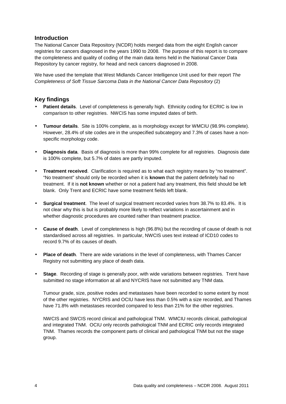## **Introduction**

The National Cancer Data Repository (NCDR) holds merged data from the eight English cancer registries for cancers diagnosed in the years 1990 to 2008. The purpose of this report is to compare the completeness and quality of coding of the main data items held in the National Cancer Data Repository by cancer registry, for head and neck cancers diagnosed in 2008.

We have used the template that West Midlands Cancer Intelligence Unit used for their report The Completeness of Soft Tissue Sarcoma Data in the National Cancer Data Repository (2)

## **Key findings**

- **Patient details**. Level of completeness is generally high. Ethnicity coding for ECRIC is low in comparison to other registries. NWCIS has some imputed dates of birth.
- **Tumour details**. Site is 100% complete, as is morphology except for WMCIU (98.9% complete). However, 28.4% of site codes are in the unspecified subcategory and 7.3% of cases have a nonspecific morphology code.
- **Diagnosis data**. Basis of diagnosis is more than 99% complete for all registries. Diagnosis date is 100% complete, but 5.7% of dates are partly imputed.
- **Treatment received**. Clarification is required as to what each registry means by "no treatment". "No treatment" should only be recorded when it is **known** that the patient definitely had no treatment. If it is **not known** whether or not a patient had any treatment, this field should be left blank. Only Trent and ECRIC have some treatment fields left blank.
- **Surgical treatment**. The level of surgical treatment recorded varies from 38.7% to 83.4%. It is not clear why this is but is probably more likely to reflect variations in ascertainment and in whether diagnostic procedures are counted rather than treatment practice.
- **Cause of death**. Level of completeness is high (96.8%) but the recording of cause of death is not standardised across all registries. In particular, NWCIS uses text instead of ICD10 codes to record 9.7% of its causes of death.
- **Place of death**. There are wide variations in the level of completeness, with Thames Cancer Registry not submitting any place of death data.
- **Stage.** Recording of stage is generally poor, with wide variations between registries. Trent have submitted no stage information at all and NYCRIS have not submitted any TNM data.

Tumour grade, size, positive nodes and metastases have been recorded to some extent by most of the other registries. NYCRIS and OCIU have less than 0.5% with a size recorded, and Thames have 71.8% with metastases recorded compared to less than 21% for the other registries.

NWCIS and SWCIS record clinical and pathological TNM. WMCIU records clinical, pathological and integrated TNM. OCIU only records pathological TNM and ECRIC only records integrated TNM. Thames records the component parts of clinical and pathological TNM but not the stage group.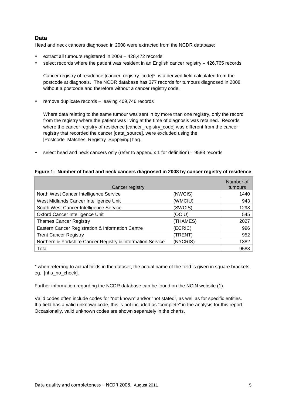## **Data**

Head and neck cancers diagnosed in 2008 were extracted from the NCDR database:

- extract all tumours registered in 2008 428,472 records
- select records where the patient was resident in an English cancer registry 426,765 records

Cancer registry of residence [cancer\_registry\_code]\* is a derived field calculated from the postcode at diagnosis. The NCDR database has 377 records for tumours diagnosed in 2008 without a postcode and therefore without a cancer registry code.

• remove duplicate records – leaving 409,746 records

Where data relating to the same tumour was sent in by more than one registry, only the record from the registry where the patient was living at the time of diagnosis was retained. Records where the cancer registry of residence [cancer\_registry\_code] was different from the cancer registry that recorded the cancer [data\_source], were excluded using the [Postcode\_Matches\_Registry\_Supplying] flag.

• select head and neck cancers only (refer to appendix 1 for definition) – 9583 records

| Cancer registry                                            |          | Number of<br>tumours |
|------------------------------------------------------------|----------|----------------------|
| North West Cancer Intelligence Service                     | (NWCIS)  | 1440                 |
| West Midlands Cancer Intelligence Unit                     | (WMCIU)  | 943                  |
| South West Cancer Intelligence Service                     | (SWCIS)  | 1298                 |
| Oxford Cancer Intelligence Unit                            | (OCIU)   | 545                  |
| <b>Thames Cancer Registry</b>                              | (THAMES) | 2027                 |
| Eastern Cancer Registration & Information Centre           | (ECRIC)  | 996                  |
| <b>Trent Cancer Registry</b>                               | (TRENT)  | 952                  |
| Northern & Yorkshire Cancer Registry & Information Service | (NYCRIS) | 1382                 |
| Total                                                      |          | 9583                 |

## **Figure 1: Number of head and neck cancers diagnosed in 2008 by cancer registry of residence**

\* when referring to actual fields in the dataset, the actual name of the field is given in square brackets, eg. [nhs\_no\_check].

Further information regarding the NCDR database can be found on the NCIN website (1).

Valid codes often include codes for "not known" and/or "not stated", as well as for specific entities. If a field has a valid unknown code, this is not included as "complete" in the analysis for this report. Occasionally, valid unknown codes are shown separately in the charts.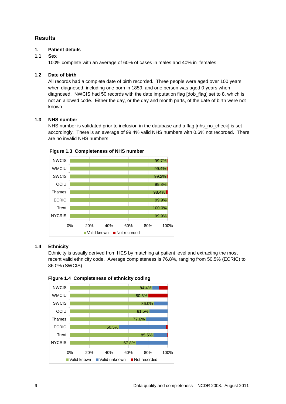## **Results**

## **1. Patient details**

## **1.1 Sex**

100% complete with an average of 60% of cases in males and 40% in females.

## **1.2 Date of birth**

All records had a complete date of birth recorded. Three people were aged over 100 years when diagnosed, including one born in 1859, and one person was aged 0 years when diagnosed. NWCIS had 50 records with the date imputation flag [dob\_flag] set to 8, which is not an allowed code. Either the day, or the day and month parts, of the date of birth were not known.

## **1.3 NHS number**

NHS number is validated prior to inclusion in the database and a flag [nhs\_no\_check] is set accordingly. There is an average of 99.4% valid NHS numbers with 0.6% not recorded. There are no invalid NHS numbers.



## **Figure 1.3 Completeness of NHS number**

#### **1.4 Ethnicity**

Ethnicity is usually derived from HES by matching at patient level and extracting the most recent valid ethnicity code. Average completeness is 76.8%, ranging from 50.5% (ECRIC) to 86.0% (SWCIS).



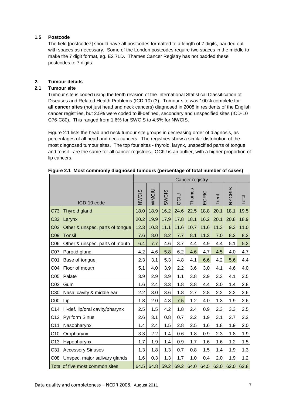## **1.5 Postcode**

The field [postcode7] should have all postcodes formatted to a length of 7 digits, padded out with spaces as necessary. Some of the London postcodes require two spaces in the middle to make the 7 digit format, eg. E2 7LD. Thames Cancer Registry has not padded these postcodes to 7 digits.

## **2. Tumour details**

## **2.1 Tumour site**

Tumour site is coded using the tenth revision of the International Statistical Classification of Diseases and Related Health Problems (ICD-10) (3). Tumour site was 100% complete for **all cancer sites** (not just head and neck cancers) diagnosed in 2008 in residents of the English cancer registries, but 2.5% were coded to ill-defined, secondary and unspecified sites (ICD-10 C76-C80). This ranged from 1.6% for SWCIS to 4.5% for NWCIS.

Figure 2.1 lists the head and neck tumour site groups in decreasing order of diagnosis, as percentages of all head and neck cancers. The registries show a similar distribution of the most diagnosed tumour sites. The top four sites - thyroid, larynx, unspecified parts of tongue and tonsil - are the same for all cancer registries. OCIU is an outlier, with a higher proportion of lip cancers.

|                                                                                                 |                                  | Cancer registry |              |              |      |        |       |       |               |         |
|-------------------------------------------------------------------------------------------------|----------------------------------|-----------------|--------------|--------------|------|--------|-------|-------|---------------|---------|
|                                                                                                 | ICD-10 code                      | <b>NWCIS</b>    | <b>NNOIU</b> | <b>SWCIS</b> | OCIU | Thames | ECRIC | Trent | <b>NYCRIS</b> | Total   |
| C73                                                                                             | Thyroid gland                    | 18.0            | 18.9         | 16.2         | 24.6 | 22.5   | 18.8  | 20.1  | 18.1          | 19.5    |
| C32                                                                                             | Larynx                           | 20.2            | 19.9         | 17.9         | 17.8 | 18.1   | 16.2  | 20.1  | 20.8          | 18.9    |
| CO <sub>2</sub>                                                                                 | Other & unspec. parts of tongue  | 12.3            | 10.3         | 11.1         | 11.6 | 10.7   | 11.6  | 11.3  | 9.3           | 11.0    |
| <b>C09</b>                                                                                      | <b>Tonsil</b>                    | 7.6             | 8.0          | 8.2          | 7.7  | 8.1    | 11.3  | 7.0   | 8.2           | 8.2     |
| C <sub>06</sub>                                                                                 | Other & unspec. parts of mouth   | 6.4             | 7.7          | 4.6          | 3.7  | 4.4    | 4.9   | 4.4   | 5.1           | 5.2     |
| CO <sub>7</sub>                                                                                 | Parotid gland                    | 4.2             | 4.6          | 5.8          | 6.2  | 4.6    | 4.7   | 4.5   | 4.0           | 4.7     |
| CO <sub>1</sub>                                                                                 | Base of tongue                   | 2.3             | 3.1          | 5.3          | 4.8  | 4.1    | 6.6   | 4.2   | 5.6           | 4.4     |
| CO <sub>4</sub>                                                                                 | Floor of mouth                   | 5.1             | 4.0          | 3.9          | 2.2  | 3.6    | 3.0   | 4.1   | 4.6           | 4.0     |
| C <sub>05</sub>                                                                                 | Palate                           | 3.9             | 2.9          | 3.9          | 1.1  | 3.8    | 2.9   | 3.3   | 4.1           | 3.5     |
| C <sub>03</sub>                                                                                 | Gum                              | 1.6             | 2.4          | 3.3          | 1.8  | 3.8    | 4.4   | 3.0   | 1.4           | $2.8\,$ |
| C30                                                                                             | Nasal cavity & middle ear        | 2.2             | 3.0          | 3.6          | 1.8  | 2.7    | 2.8   | 2.2   | 2.2           | 2.6     |
| C <sub>00</sub>                                                                                 | Lip                              | 1.8             | 2.0          | 4.3          | 7.5  | 1.2    | 4.0   | 1.3   | 1.9           | 2.6     |
| C14                                                                                             | Ill-def. lip/oral cavity/pharynx | 2.5             | 1.5          | 4.2          | 1.8  | 2.4    | 0.9   | 2.3   | 3.3           | 2.5     |
| C12                                                                                             | Pyriform Sinus                   | 2.6             | 3.1          | 0.8          | 0.7  | 2.2    | 1.9   | 3.1   | 2.7           | 2.2     |
| C <sub>11</sub>                                                                                 | Nasopharynx                      | 1.4             | 2.4          | 1.5          | 2.8  | 2.5    | 1.6   | 1.8   | 1.9           | 2.0     |
| C10                                                                                             | Oropharynx                       | 3.3             | 2.2          | 1.4          | 0.6  | 1.8    | 0.9   | 2.3   | 1.8           | 1.9     |
| C <sub>13</sub>                                                                                 | Hypopharynx                      | 1.7             | 1.9          | 1.4          | 0.9  | 1.7    | 1.6   | 1.6   | 1.2           | 1.5     |
| C31                                                                                             | <b>Accessory Sinuses</b>         | 1.3             | 1.8          | 1.3          | 0.7  | 0.8    | 1.5   | 1.4   | 1.9           | 1.3     |
| CO8                                                                                             | Unspec. major salivary glands    | 1.6             | 0.3          | 1.3          | 1.7  | 1.0    | 0.4   | 2.0   | 1.9           | 1.2     |
| 59.2<br>69.2<br>64.5<br>63.0<br>62.0<br>Total of five most common sites<br>64.5<br>64.8<br>64.0 |                                  |                 |              |              |      | 62.8   |       |       |               |         |

**Figure 2.1 Most commonly diagnosed tumours (percentage of total number of cases)**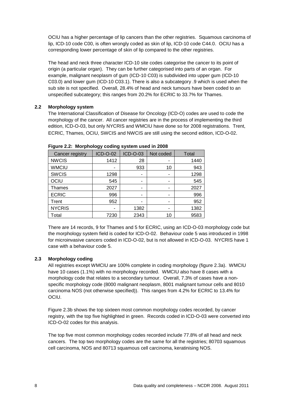OCIU has a higher percentage of lip cancers than the other registries. Squamous carcinoma of lip, ICD-10 code C00, is often wrongly coded as skin of lip, ICD-10 code C44.0. OCIU has a corresponding lower percentage of skin of lip compared to the other registries.

The head and neck three character ICD-10 site codes categorise the cancer to its point of origin (a particular organ). They can be further categorised into parts of an organ. For example, malignant neoplasm of gum (ICD-10 C03) is subdivided into upper gum (ICD-10 C03.0) and lower gum (ICD-10 C03.1). There is also a subcategory .9 which is used when the sub site is not specified. Overall, 28.4% of head and neck tumours have been coded to an unspecified subcategory; this ranges from 20.2% for ECRIC to 33.7% for Thames.

## **2.2 Morphology system**

The International Classification of Disease for Oncology (ICD-O) codes are used to code the morphology of the cancer. All cancer registries are in the process of implementing the third edition, ICD-O-03, but only NYCRIS and WMCIU have done so for 2008 registrations. Trent, ECRIC, Thames, OCIU, SWCIS and NWCIS are still using the second edition, ICD-O-02.

| Cancer registry | <b>ICD-O-02</b> | <b>ICD-O-03</b> | Not coded | <b>Total</b> |
|-----------------|-----------------|-----------------|-----------|--------------|
| <b>NWCIS</b>    | 1412            | 28              |           | 1440         |
| <b>WMCIU</b>    |                 | 933             | 10        | 943          |
| <b>SWCIS</b>    | 1298            |                 |           | 1298         |
| OCIU            | 545             |                 | -         | 545          |
| Thames          | 2027            |                 |           | 2027         |
| <b>ECRIC</b>    | 996             |                 |           | 996          |
| Trent           | 952             |                 |           | 952          |
| <b>NYCRIS</b>   |                 | 1382            |           | 1382         |
| Total           | 7230            | 2343            | 10        | 9583         |

**Figure 2.2: Morphology coding system used in 2008**

There are 14 records, 9 for Thames and 5 for ECRIC, using an ICD-O-03 morphology code but the morphology system field is coded for ICD-O-02. Behaviour code 5 was introduced in 1998 for microinvasive cancers coded in ICD-O-02, but is not allowed in ICD-O-03. NYCRIS have 1 case with a behaviour code 5.

## **2.3 Morphology coding**

All registries except WMCIU are 100% complete in coding morphology (figure 2.3a). WMCIU have 10 cases (1.1%) with no morphology recorded. WMCIU also have 8 cases with a morphology code that relates to a secondary tumour. Overall, 7.3% of cases have a nonspecific morphology code (8000 malignant neoplasm, 8001 malignant tumour cells and 8010 carcinoma NOS (not otherwise specified)). This ranges from 4.2% for ECRIC to 13.4% for OCIU.

Figure 2.3b shows the top sixteen most common morphology codes recorded, by cancer registry, with the top five highlighted in green. Records coded in ICD-O-03 were converted into ICD-O-02 codes for this analysis.

The top five most common morphology codes recorded include 77.8% of all head and neck cancers. The top two morphology codes are the same for all the registries; 80703 squamous cell carcinoma, NOS and 80713 squamous cell carcinoma, keratinising NOS.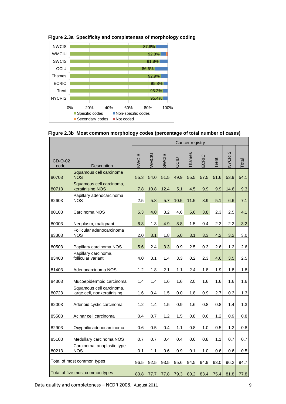

**Figure 2.3a Specificity and completeness of morphology coding**

| Figure 2.3b Most common morphology codes (percentage of total number of cases) |
|--------------------------------------------------------------------------------|
|--------------------------------------------------------------------------------|

|                                                   |                                                         | Cancer registry |              |              |           |        |       |             |               |       |
|---------------------------------------------------|---------------------------------------------------------|-----------------|--------------|--------------|-----------|--------|-------|-------------|---------------|-------|
| ICD-O-02<br>code                                  | Description                                             | VWCIS           | WMCIU        | <b>SWCIS</b> | DCIU      | Thames | ECRIC | Trent       | <b>NYCRIS</b> | Total |
| 80703                                             | Squamous cell carcinoma<br><b>NOS</b>                   | 55.3            | 54.0         | 51.5         | 49.9      | 55.5   | 57.5  | 51.6        | 53.9          | 54.1  |
| 80713                                             | Squamous cell carcinoma,<br>keratinising NOS            | 7.8             | 10.8         | 12.4         | 5.1       | 4.5    | 9.9   | 9.9         | 14.6          | 9.3   |
| 82603                                             | Papillary adenocarcinoma<br><b>NOS</b>                  | 2.5             | 5.8          | 5.7          | 10.5      | 11.5   | 8.9   | 5.1         | 6.6           | 7.1   |
| 80103                                             | Carcinoma NOS                                           | 5.3             | 4.0          | 3.2          | 4.6       | 5.6    | 3.8   | 2.3         | 2.5           | 4.1   |
| 80003                                             | Neoplasm, malignant                                     | 6.8             | 1.3          | 4.9          | 8.8       | 1.5    | 0.4   | 2.3         | 2.2           | 3.2   |
| 83303                                             | Follicular adenocarcinoma<br><b>NOS</b>                 | 2.0             | 3.1          | 1.8          | 5.0       | 3.1    | 3.3   | 4.2         | 3.2           | 3.0   |
| 80503                                             | Papillary carcinoma NOS                                 | 5.6             | 2.4          | 3.3          | 0.9       | 2.5    | 0.3   | 2.6         | 1.2           | 2.6   |
| 83403                                             | Papillary carcinoma,<br>follicular variant              | 4.0             | 3.1          | 1.4          | 3.3       | 0.2    | 2.3   | 4.6         | 3.5           | 2.5   |
| 81403                                             | Adenocarcinoma NOS                                      | 1.2             | 1.8          | 2.1          | 1.1       | 2.4    | 1.8   | 1.9         | 1.8           | 1.8   |
| 84303                                             | Mucoepidermoid carcinoma                                | 1.4             | 1.4          | 1.6          | 1.6       | 2.0    | 1.6   | 1.6         | 1.6           | 1.6   |
| 80723                                             | Squamous cell carcinoma,<br>large cell, nonkeratinising | 1.6             | 0.4          | 1.5          | 0.0       | 1.8    | 0.9   | 2.7         | 0.3           | 1.3   |
| 82003                                             | Adenoid cystic carcinoma                                | 1.2             | 1.4          | 1.5          | 0.9       | 1.6    | 0.8   | 0.8         | 1.4           | 1.3   |
| 85503                                             | Acinar cell carcinoma                                   | 0.4             | 0.7          | 1.2          | 1.5       | 0.8    | 0.6   | 1.2         | 0.9           | 0.8   |
| 82903                                             | Oxyphilic adenocarcinoma                                | 0.6             | 0.5          | 0.4          | 1.1       | 0.8    | 1.0   | 0.5         | 1.2           | 0.8   |
| 85103                                             | Medullary carcinoma NOS                                 | 0.7             | 0.7          | 0.4          | 0.4       | 0.6    | 0.8   | 1.1         | 0.7           | 0.7   |
| Carcinoma, anaplastic type<br>80213<br><b>NOS</b> |                                                         | 0.1             | 1.1          | 0.6          | 0.9       | 0.1    | 1.0   | 0.6         | 0.6           | 0.5   |
|                                                   | Total of most common types                              | 96.5            | 92.5         | 93.5         | 95.6      | 94.5   | 94.9  | 93.0        | 96.2          | 94.7  |
| Total of five most common types                   |                                                         |                 | 80.8<br>77.7 |              | 77.8 79.3 | 80.2   |       | $83.4$ 75.4 | 81.8          | 77.8  |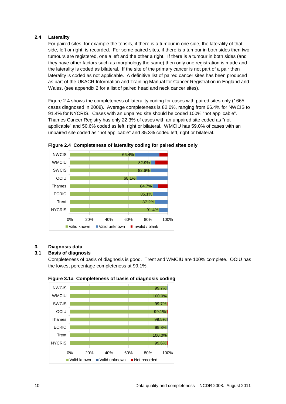#### **2.4 Laterality**

For paired sites, for example the tonsils, if there is a tumour in one side, the laterality of that side, left or right, is recorded. For some paired sites, if there is a tumour in both sides then two tumours are registered, one a left and the other a right. If there is a tumour in both sides (and they have other factors such as morphology the same) then only one registration is made and the laterality is coded as bilateral. If the site of the primary cancer is not part of a pair then laterality is coded as not applicable. A definitive list of paired cancer sites has been produced as part of the UKACR Information and Training Manual for Cancer Registration in England and Wales. (see appendix 2 for a list of paired head and neck cancer sites).

Figure 2.4 shows the completeness of laterality coding for cases with paired sites only (1665 cases diagnosed in 2008). Average completeness is 82.0%, ranging from 66.4% for NWCIS to 91.4% for NYCRIS. Cases with an unpaired site should be coded 100% "not applicable". Thames Cancer Registry has only 22.3% of cases with an unpaired site coded as "not applicable" and 50.6% coded as left, right or bilateral. WMCIU has 59.0% of cases with an unpaired site coded as "not applicable" and 35.3% coded left, right or bilateral.





## **3. Diagnosis data**

## **3.1 Basis of diagnosis**

Completeness of basis of diagnosis is good. Trent and WMCIU are 100% complete. OCIU has the lowest percentage completeness at 99.1%.



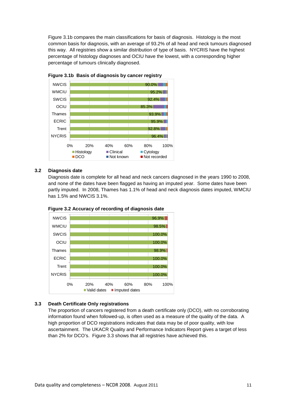Figure 3.1b compares the main classifications for basis of diagnosis. Histology is the most common basis for diagnosis, with an average of 93.2% of all head and neck tumours diagnosed this way. All registries show a similar distribution of type of basis. NYCRIS have the highest percentage of histology diagnoses and OCIU have the lowest, with a corresponding higher percentage of tumours clinically diagnosed.





#### **3.2 Diagnosis date**

Diagnosis date is complete for all head and neck cancers diagnosed in the years 1990 to 2008, and none of the dates have been flagged as having an imputed year. Some dates have been partly imputed. In 2008, Thames has 1.1% of head and neck diagnosis dates imputed, WMCIU has 1.5% and NWCIS 3.1%.





#### **3.3 Death Certificate Only registrations**

The proportion of cancers registered from a death certificate only (DCO), with no corroborating information found when followed-up, is often used as a measure of the quality of the data. A high proportion of DCO registrations indicates that data may be of poor quality, with low ascertainment. The UKACR Quality and Performance Indicators Report gives a target of less than 2% for DCO's. Figure 3.3 shows that all registries have achieved this.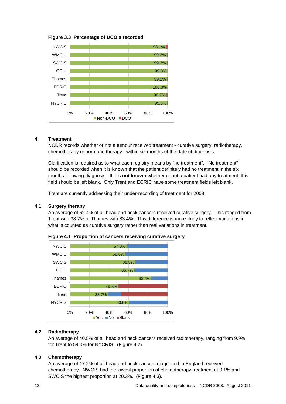**Figure 3.3 Percentage of DCO's recorded** 



#### **4. Treatment**

NCDR records whether or not a tumour received treatment - curative surgery, radiotherapy, chemotherapy or hormone therapy - within six months of the date of diagnosis.

Clarification is required as to what each registry means by "no treatment". "No treatment" should be recorded when it is **known** that the patient definitely had no treatment in the six months following diagnosis. If it is **not known** whether or not a patient had any treatment, this field should be left blank. Only Trent and ECRIC have some treatment fields left blank.

Trent are currently addressing their under-recording of treatment for 2008.

#### **4.1 Surgery therapy**

An average of 62.4% of all head and neck cancers received curative surgery. This ranged from Trent with 38.7% to Thames with 83.4%. This difference is more likely to reflect variations in what is counted as curative surgery rather than real variations in treatment.



**Figure 4.1 Proportion of cancers receiving curative surgery** 

## **4.2 Radiotherapy**

An average of 40.5% of all head and neck cancers received radiotherapy, ranging from 9.9% for Trent to 59.0% for NYCRIS. (Figure 4.2).

## **4.3 Chemotherapy**

An average of 17.2% of all head and neck cancers diagnosed in England received chemotherapy. NWCIS had the lowest proportion of chemotherapy treatment at 9.1% and SWCIS the highest proportion at 20.3%. (Figure 4.3).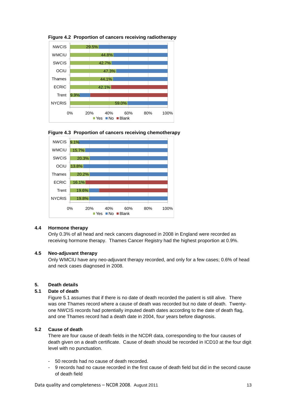

**Figure 4.2 Proportion of cancers receiving radiotherapy** 





#### **4.4 Hormone therapy**

Only 0.3% of all head and neck cancers diagnosed in 2008 in England were recorded as receiving hormone therapy. Thames Cancer Registry had the highest proportion at 0.9%.

#### **4.5 Neo-adjuvant therapy**

Only WMCIU have any neo-adjuvant therapy recorded, and only for a few cases; 0.6% of head and neck cases diagnosed in 2008.

#### **5. Death details**

#### **5.1 Date of death**

Figure 5.1 assumes that if there is no date of death recorded the patient is still alive. There was one Thames record where a cause of death was recorded but no date of death. Twentyone NWCIS records had potentially imputed death dates according to the date of death flag, and one Thames record had a death date in 2004, four years before diagnosis.

## **5.2 Cause of death**

There are four cause of death fields in the NCDR data, corresponding to the four causes of death given on a death certificate. Cause of death should be recorded in ICD10 at the four digit level with no punctuation.

- 50 records had no cause of death recorded.
- 9 records had no cause recorded in the first cause of death field but did in the second cause of death field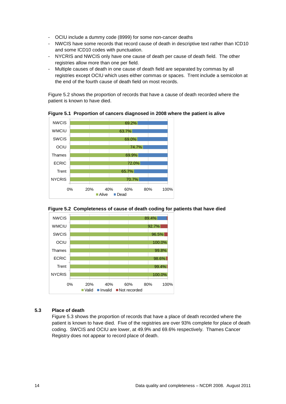- OCIU include a dummy code (8999) for some non-cancer deaths
- NWCIS have some records that record cause of death in descriptive text rather than ICD10 and some ICD10 codes with punctuation.
- NYCRIS and NWCIS only have one cause of death per cause of death field. The other registries allow more than one per field.
- Multiple causes of death in one cause of death field are separated by commas by all registries except OCIU which uses either commas or spaces. Trent include a semicolon at the end of the fourth cause of death field on most records.

Figure 5.2 shows the proportion of records that have a cause of death recorded where the patient is known to have died.

**Figure 5.1 Proportion of cancers diagnosed in 2008 where the patient is alive** 









#### **5.3 Place of death**

Figure 5.3 shows the proportion of records that have a place of death recorded where the patient is known to have died. Five of the registries are over 93% complete for place of death coding. SWCIS and OCIU are lower, at 49.9% and 69.6% respectively. Thames Cancer Registry does not appear to record place of death.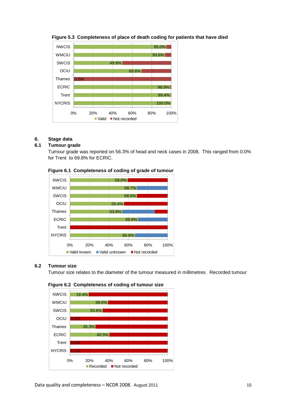

## **Figure 5.3 Completeness of place of death coding for patients that have died**

## **6. Stage data**

## **6.1 Tumour grade**

Tumour grade was reported on 56.3% of head and neck cases in 2008. This ranged from 0.0% for Trent to 69.8% for ECRIC.



#### **Figure 6.1 Completeness of coding of grade of tumour**

#### **6.2 Tumour size**

Tumour size relates to the diameter of the tumour measured in millimetres. Recorded tumour



#### **Figure 6.2 Completeness of coding of tumour size**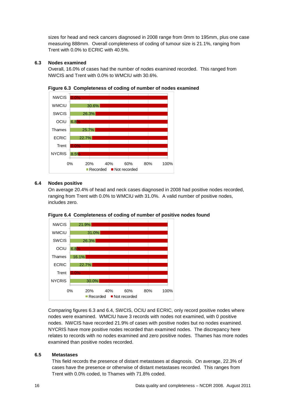sizes for head and neck cancers diagnosed in 2008 range from 0mm to 195mm, plus one case measuring 888mm. Overall completeness of coding of tumour size is 21.1%, ranging from Trent with 0.0% to ECRIC with 40.5%.

#### **6.3 Nodes examined**

Overall, 16.0% of cases had the number of nodes examined recorded. This ranged from NWCIS and Trent with 0.0% to WMCIU with 30.6%.



**Figure 6.3 Completeness of coding of number of nodes examined**

## **6.4 Nodes positive**

On average 20.4% of head and neck cases diagnosed in 2008 had positive nodes recorded, ranging from Trent with 0.0% to WMCIU with 31.0%. A valid number of positive nodes, includes zero.





Comparing figures 6.3 and 6.4, SWCIS, OCIU and ECRIC, only record positive nodes where nodes were examined. WMCIU have 3 records with nodes not examined, with 0 positive nodes. NWCIS have recorded 21.9% of cases with positive nodes but no nodes examined. NYCRIS have more positive nodes recorded than examined nodes. The discrepancy here relates to records with no nodes examined and zero positive nodes. Thames has more nodes examined than positive nodes recorded.

#### **6.5 Metastases**

This field records the presence of distant metastases at diagnosis. On average, 22.3% of cases have the presence or otherwise of distant metastases recorded. This ranges from Trent with 0.0% coded, to Thames with 71.8% coded.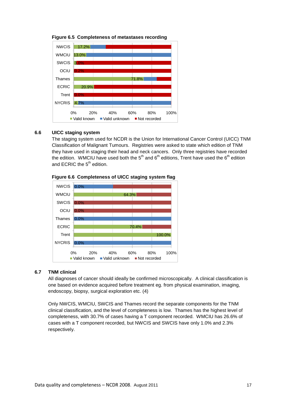



#### **6.6 UICC staging system**

The staging system used for NCDR is the Union for International Cancer Control (UICC) TNM Classification of Malignant Tumours. Registries were asked to state which edition of TNM they have used in staging their head and neck cancers. Only three registries have recorded the edition. WMCIU have used both the  $5<sup>th</sup>$  and  $6<sup>th</sup>$  editions, Trent have used the  $6<sup>th</sup>$  edition and ECRIC the  $5<sup>th</sup>$  edition.





#### **6.7 TNM clinical**

All diagnoses of cancer should ideally be confirmed microscopically. A clinical classification is one based on evidence acquired before treatment eg. from physical examination, imaging, endoscopy, biopsy, surgical exploration etc. (4)

Only NWCIS, WMCIU, SWCIS and Thames record the separate components for the TNM clinical classification, and the level of completeness is low. Thames has the highest level of completeness, with 30.7% of cases having a T component recorded. WMCIU has 26.6% of cases with a T component recorded, but NWCIS and SWCIS have only 1.0% and 2.3% respectively.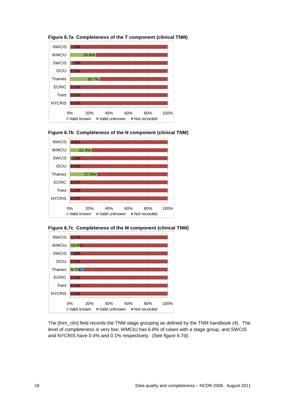

**Figure 6.7a Completeness of the T component (clinical TNM)** 









The [tnm\_clin] field records the TNM stage grouping as defined by the TNM handbook (4). The level of completeness is very low; WMCIU has 6.8% of cases with a stage group, and SWCIS and NYCRIS have 0.4% and 0.1% respectively. (See figure 6.7d).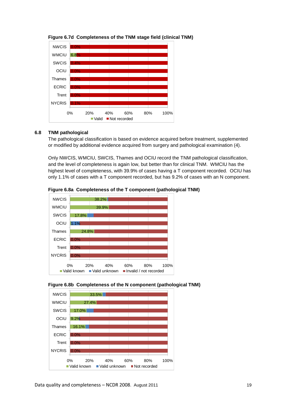

**Figure 6.7d Completeness of the TNM stage field (clinical TNM)** 

## **6.8 TNM pathological**

The pathological classification is based on evidence acquired before treatment, supplemented or modified by additional evidence acquired from surgery and pathological examination (4).

Only NWCIS, WMCIU, SWCIS, Thames and OCIU record the TNM pathological classification, and the level of completeness is again low, but better than for clinical TNM. WMCIU has the highest level of completeness, with 39.9% of cases having a T component recorded. OCIU has only 1.1% of cases with a T component recorded, but has 9.2% of cases with an N component.



**Figure 6.8a Completeness of the T component (pathological TNM)** 



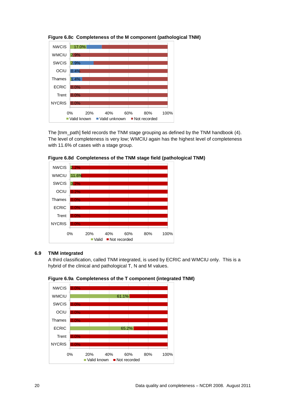

**Figure 6.8c Completeness of the M component (pathological TNM)** 

The [tnm\_path] field records the TNM stage grouping as defined by the TNM handbook (4). The level of completeness is very low; WMCIU again has the highest level of completeness with 11.6% of cases with a stage group.





## **6.9 TNM integrated**

A third classification, called TNM integrated, is used by ECRIC and WMCIU only. This is a hybrid of the clinical and pathological T, N and M values.



**Figure 6.9a Completeness of the T component (integrated TNM)**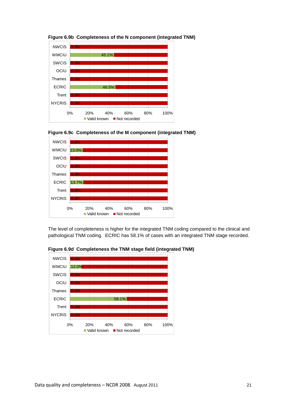

**Figure 6.9b Completeness of the N component (integrated TNM)**





The level of completeness is higher for the integrated TNM coding compared to the clinical and pathological TNM coding. ECRIC has 58.1% of cases with an integrated TNM stage recorded.



**Figure 6.9d Completeness the TNM stage field (integrated TNM)**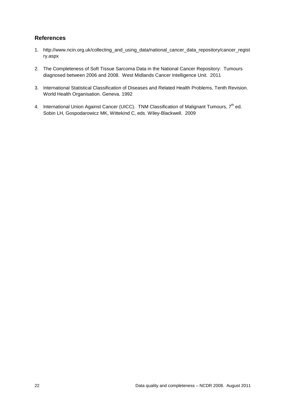## **References**

- 1. http://www.ncin.org.uk/collecting\_and\_using\_data/national\_cancer\_data\_repository/cancer\_regist ry.aspx
- 2. The Completeness of Soft Tissue Sarcoma Data in the National Cancer Repository: Tumours diagnosed between 2006 and 2008. West Midlands Cancer Intelligence Unit. 2011
- 3. International Statistical Classification of Diseases and Related Health Problems, Tenth Revision. World Health Organisation. Geneva. 1992
- 4. International Union Against Cancer (UICC). TNM Classification of Malignant Tumours,  $7<sup>th</sup>$  ed. Sobin LH, Gospodarowicz MK, Wittekind C, eds. Wiley-Blackwell. 2009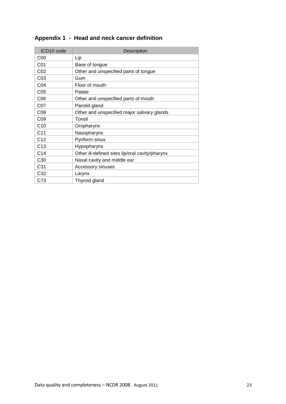| ICD10 code      | Description                                     |
|-----------------|-------------------------------------------------|
| C <sub>00</sub> | Lip                                             |
| C01             | Base of tongue                                  |
| CO <sub>2</sub> | Other and unspecified parts of tongue           |
| CO <sub>3</sub> | Gum                                             |
| CO <sub>4</sub> | Floor of mouth                                  |
| CO <sub>5</sub> | Palate                                          |
| C <sub>06</sub> | Other and unspecified parts of mouth            |
| C07             | Parotid gland                                   |
| CO8             | Other and unspecified major salivary glands     |
| CO9             | Tonsil                                          |
| C10             | Oropharynx                                      |
| C <sub>11</sub> | Nasopharynx                                     |
| C <sub>12</sub> | Pyriform sinus                                  |
| C <sub>13</sub> | Hypopharynx                                     |
| C <sub>14</sub> | Other ill-defined sites lip/oral cavity/pharynx |
| C <sub>30</sub> | Nasal cavity and middle ear                     |
| C <sub>31</sub> | Accessory sinuses                               |
| C32             | Larynx                                          |
| C73             | Thyroid gland                                   |

## **Appendix 1 - Head and neck cancer definition**